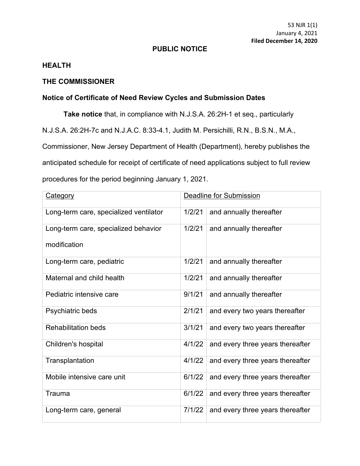## **PUBLIC NOTICE**

## **HEALTH**

## **THE COMMISSIONER**

## **Notice of Certificate of Need Review Cycles and Submission Dates**

**Take notice** that, in compliance with N.J.S.A. 26:2H-1 et seq., particularly N.J.S.A. 26:2H-7c and N.J.A.C. 8:33-4.1, Judith M. Persichilli, R.N., B.S.N., M.A., Commissioner, New Jersey Department of Health (Department), hereby publishes the anticipated schedule for receipt of certificate of need applications subject to full review procedures for the period beginning January 1, 2021.

| <b>Category</b>                        | Deadline for Submission |                                  |
|----------------------------------------|-------------------------|----------------------------------|
| Long-term care, specialized ventilator | 1/2/21                  | and annually thereafter          |
| Long-term care, specialized behavior   | 1/2/21                  | and annually thereafter          |
| modification                           |                         |                                  |
| Long-term care, pediatric              | 1/2/21                  | and annually thereafter          |
| Maternal and child health              | 1/2/21                  | and annually thereafter          |
| Pediatric intensive care               | 9/1/21                  | and annually thereafter          |
| Psychiatric beds                       | 2/1/21                  | and every two years thereafter   |
| <b>Rehabilitation beds</b>             | 3/1/21                  | and every two years thereafter   |
| Children's hospital                    | 4/1/22                  | and every three years thereafter |
| Transplantation                        | 4/1/22                  | and every three years thereafter |
| Mobile intensive care unit             | 6/1/22                  | and every three years thereafter |
| Trauma                                 | 6/1/22                  | and every three years thereafter |
| Long-term care, general                | 7/1/22                  | and every three years thereafter |